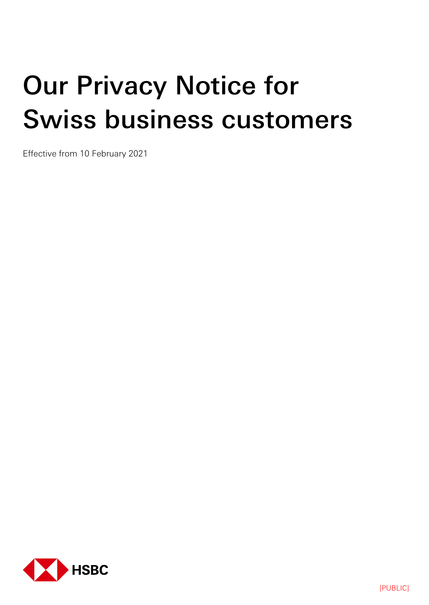# Our Privacy Notice for Swiss business customers

Effective from 10 February 2021

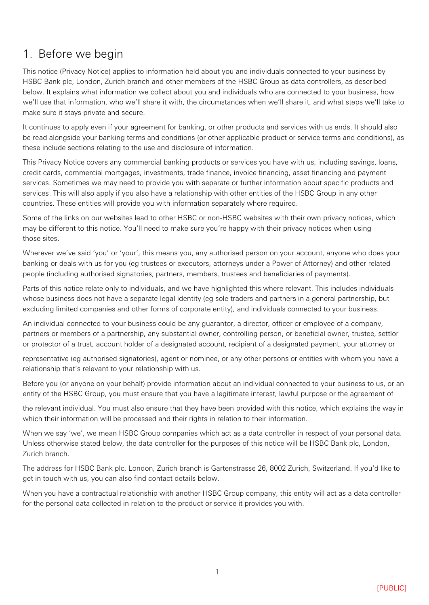# 1. Before we begin

This notice (Privacy Notice) applies to information held about you and individuals connected to your business by HSBC Bank plc, London, Zurich branch and other members of the HSBC Group as data controllers, as described below. It explains what information we collect about you and individuals who are connected to your business, how we'll use that information, who we'll share it with, the circumstances when we'll share it, and what steps we'll take to make sure it stays private and secure.

It continues to apply even if your agreement for banking, or other products and services with us ends. It should also be read alongside your banking terms and conditions (or other applicable product or service terms and conditions), as these include sections relating to the use and disclosure of information.

This Privacy Notice covers any commercial banking products or services you have with us, including savings, loans, credit cards, commercial mortgages, investments, trade finance, invoice financing, asset financing and payment services. Sometimes we may need to provide you with separate or further information about specific products and services. This will also apply if you also have a relationship with other entities of the HSBC Group in any other countries. These entities will provide you with information separately where required.

Some of the links on our websites lead to other HSBC or non-HSBC websites with their own privacy notices, which may be different to this notice. You'll need to make sure you're happy with their privacy notices when using those sites.

Wherever we've said 'you' or 'your', this means you, any authorised person on your account, anyone who does your banking or deals with us for you (eg trustees or executors, attorneys under a Power of Attorney) and other related people (including authorised signatories, partners, members, trustees and beneficiaries of payments).

Parts of this notice relate only to individuals, and we have highlighted this where relevant. This includes individuals whose business does not have a separate legal identity (eg sole traders and partners in a general partnership, but excluding limited companies and other forms of corporate entity), and individuals connected to your business.

An individual connected to your business could be any guarantor, a director, officer or employee of a company, partners or members of a partnership, any substantial owner, controlling person, or beneficial owner, trustee, settlor or protector of a trust, account holder of a designated account, recipient of a designated payment, your attorney or

representative (eg authorised signatories), agent or nominee, or any other persons or entities with whom you have a relationship that's relevant to your relationship with us.

Before you (or anyone on your behalf) provide information about an individual connected to your business to us, or an entity of the HSBC Group, you must ensure that you have a legitimate interest, lawful purpose or the agreement of

the relevant individual. You must also ensure that they have been provided with this notice, which explains the way in which their information will be processed and their rights in relation to their information.

When we say 'we', we mean HSBC Group companies which act as a data controller in respect of your personal data. Unless otherwise stated below, the data controller for the purposes of this notice will be HSBC Bank plc, London, Zurich branch.

The address for HSBC Bank plc, London, Zurich branch is Gartenstrasse 26, 8002 Zurich, Switzerland. If you'd like to get in touch with us, you can also find contact details below.

When you have a contractual relationship with another HSBC Group company, this entity will act as a data controller for the personal data collected in relation to the product or service it provides you with.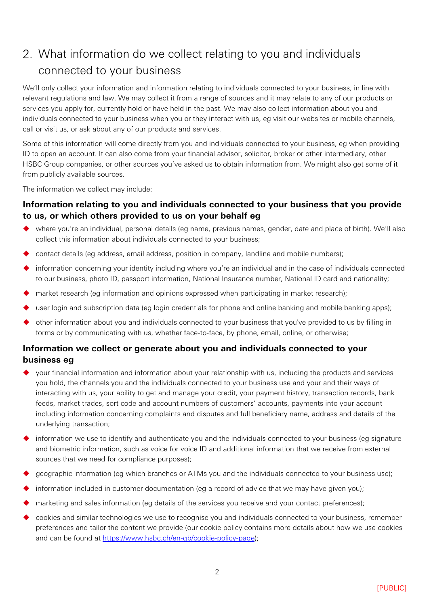# What information do we collect relating to you and individuals connected to your business

We'll only collect your information and information relating to individuals connected to your business, in line with relevant regulations and law. We may collect it from a range of sources and it may relate to any of our products or services you apply for, currently hold or have held in the past. We may also collect information about you and individuals connected to your business when you or they interact with us, eg visit our websites or mobile channels, call or visit us, or ask about any of our products and services.

Some of this information will come directly from you and individuals connected to your business, eg when providing ID to open an account. It can also come from your financial advisor, solicitor, broker or other intermediary, other HSBC Group companies, or other sources you've asked us to obtain information from. We might also get some of it from publicly available sources.

The information we collect may include:

## **Information relating to you and individuals connected to your business that you provide to us, or which others provided to us on your behalf eg**

- where you're an individual, personal details (eg name, previous names, gender, date and place of birth). We'll also collect this information about individuals connected to your business;
- contact details (eg address, email address, position in company, landline and mobile numbers);
- information concerning your identity including where you're an individual and in the case of individuals connected to our business, photo ID, passport information, National Insurance number, National ID card and nationality;
- market research (eg information and opinions expressed when participating in market research);
- user login and subscription data (eg login credentials for phone and online banking and mobile banking apps);
- other information about you and individuals connected to your business that you've provided to us by filling in forms or by communicating with us, whether face-to-face, by phone, email, online, or otherwise;

## **Information we collect or generate about you and individuals connected to your business eg**

- your financial information and information about your relationship with us, including the products and services you hold, the channels you and the individuals connected to your business use and your and their ways of interacting with us, your ability to get and manage your credit, your payment history, transaction records, bank feeds, market trades, sort code and account numbers of customers' accounts, payments into your account including information concerning complaints and disputes and full beneficiary name, address and details of the underlying transaction;
- information we use to identify and authenticate you and the individuals connected to your business (eg signature and biometric information, such as voice for voice ID and additional information that we receive from external sources that we need for compliance purposes);
- geographic information (eg which branches or ATMs you and the individuals connected to your business use);
- information included in customer documentation (eg a record of advice that we may have given you);
- marketing and sales information (eg details of the services you receive and your contact preferences);
- cookies and similar technologies we use to recognise you and individuals connected to your business, remember preferences and tailor the content we provide (our cookie policy contains more details about how we use cookies and can be found at [https://www.hsbc.ch/en-gb/cookie-policy-page\)](https://www.hsbc.ch/en-gb/cookie-policy-page);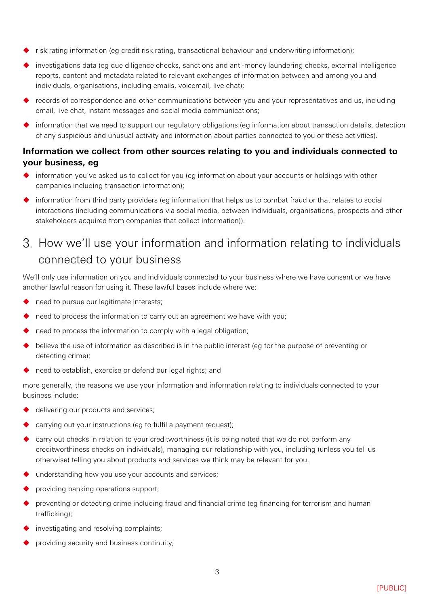- risk rating information (eg credit risk rating, transactional behaviour and underwriting information);
- investigations data (eg due diligence checks, sanctions and anti-money laundering checks, external intelligence reports, content and metadata related to relevant exchanges of information between and among you and individuals, organisations, including emails, voicemail, live chat);
- records of correspondence and other communications between you and your representatives and us, including email, live chat, instant messages and social media communications;
- $\blacklozenge$  information that we need to support our regulatory obligations (eg information about transaction details, detection of any suspicious and unusual activity and information about parties connected to you or these activities).

## **Information we collect from other sources relating to you and individuals connected to your business, eg**

- $\blacklozenge$  information you've asked us to collect for you (eg information about your accounts or holdings with other companies including transaction information);
- information from third party providers (eg information that helps us to combat fraud or that relates to social interactions (including communications via social media, between individuals, organisations, prospects and other stakeholders acquired from companies that collect information)).

# 3. How we'll use your information and information relating to individuals connected to your business

We'll only use information on you and individuals connected to your business where we have consent or we have another lawful reason for using it. These lawful bases include where we:

- need to pursue our legitimate interests;
- need to process the information to carry out an agreement we have with you;
- need to process the information to comply with a legal obligation;
- believe the use of information as described is in the public interest (eg for the purpose of preventing or detecting crime);
- need to establish, exercise or defend our legal rights; and

more generally, the reasons we use your information and information relating to individuals connected to your business include:

- delivering our products and services;
- carrying out your instructions (eg to fulfil a payment request);
- carry out checks in relation to your creditworthiness (it is being noted that we do not perform any creditworthiness checks on individuals), managing our relationship with you, including (unless you tell us otherwise) telling you about products and services we think may be relevant for you.
- understanding how you use your accounts and services;
- providing banking operations support;
- preventing or detecting crime including fraud and financial crime (eg financing for terrorism and human trafficking);
- investigating and resolving complaints;
- providing security and business continuity;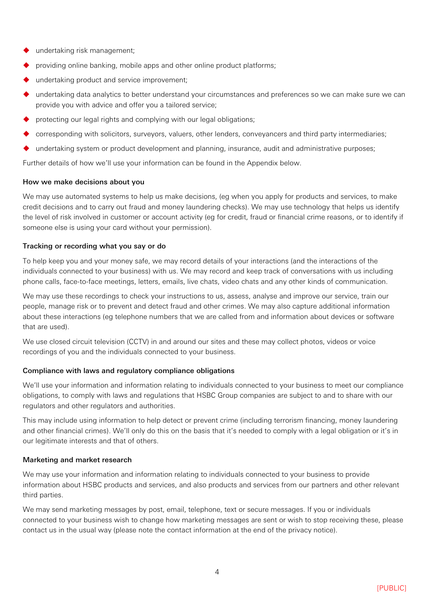- undertaking risk management;
- providing online banking, mobile apps and other online product platforms;
- undertaking product and service improvement;
- undertaking data analytics to better understand your circumstances and preferences so we can make sure we can provide you with advice and offer you a tailored service;
- protecting our legal rights and complying with our legal obligations;
- corresponding with solicitors, surveyors, valuers, other lenders, conveyancers and third party intermediaries;
- undertaking system or product development and planning, insurance, audit and administrative purposes;

Further details of how we'll use your information can be found in the Appendix below.

#### How we make decisions about you

We may use automated systems to help us make decisions, (eg when you apply for products and services, to make credit decisions and to carry out fraud and money laundering checks). We may use technology that helps us identify the level of risk involved in customer or account activity (eg for credit, fraud or financial crime reasons, or to identify if someone else is using your card without your permission).

#### Tracking or recording what you say or do

To help keep you and your money safe, we may record details of your interactions (and the interactions of the individuals connected to your business) with us. We may record and keep track of conversations with us including phone calls, face-to-face meetings, letters, emails, live chats, video chats and any other kinds of communication.

We may use these recordings to check your instructions to us, assess, analyse and improve our service, train our people, manage risk or to prevent and detect fraud and other crimes. We may also capture additional information about these interactions (eg telephone numbers that we are called from and information about devices or software that are used).

We use closed circuit television (CCTV) in and around our sites and these may collect photos, videos or voice recordings of you and the individuals connected to your business.

#### Compliance with laws and regulatory compliance obligations

We'll use your information and information relating to individuals connected to your business to meet our compliance obligations, to comply with laws and regulations that HSBC Group companies are subject to and to share with our regulators and other regulators and authorities.

This may include using information to help detect or prevent crime (including terrorism financing, money laundering and other financial crimes). We'll only do this on the basis that it's needed to comply with a legal obligation or it's in our legitimate interests and that of others.

#### Marketing and market research

We may use your information and information relating to individuals connected to your business to provide information about HSBC products and services, and also products and services from our partners and other relevant third parties.

We may send marketing messages by post, email, telephone, text or secure messages. If you or individuals connected to your business wish to change how marketing messages are sent or wish to stop receiving these, please contact us in the usual way (please note the contact information at the end of the privacy notice).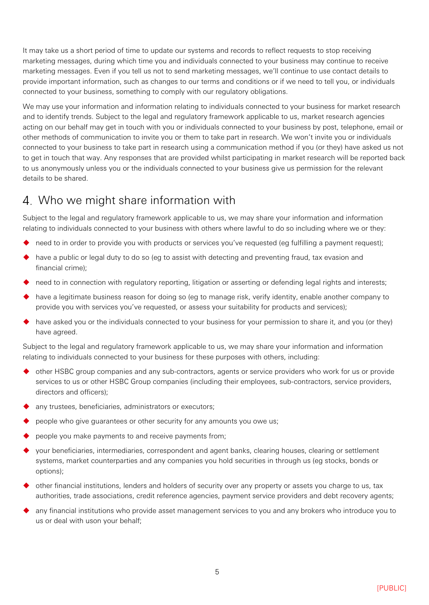It may take us a short period of time to update our systems and records to reflect requests to stop receiving marketing messages, during which time you and individuals connected to your business may continue to receive marketing messages. Even if you tell us not to send marketing messages, we'll continue to use contact details to provide important information, such as changes to our terms and conditions or if we need to tell you, or individuals connected to your business, something to comply with our regulatory obligations.

We may use your information and information relating to individuals connected to your business for market research and to identify trends. Subject to the legal and regulatory framework applicable to us, market research agencies acting on our behalf may get in touch with you or individuals connected to your business by post, telephone, email or other methods of communication to invite you or them to take part in research. We won't invite you or individuals connected to your business to take part in research using a communication method if you (or they) have asked us not to get in touch that way. Any responses that are provided whilst participating in market research will be reported back to us anonymously unless you or the individuals connected to your business give us permission for the relevant details to be shared.

## Who we might share information with

Subject to the legal and regulatory framework applicable to us, we may share your information and information relating to individuals connected to your business with others where lawful to do so including where we or they:

- need to in order to provide you with products or services you've requested (eg fulfilling a payment request);
- have a public or legal duty to do so (eg to assist with detecting and preventing fraud, tax evasion and financial crime);
- need to in connection with regulatory reporting, litigation or asserting or defending legal rights and interests;
- have a legitimate business reason for doing so (eg to manage risk, verify identity, enable another company to provide you with services you've requested, or assess your suitability for products and services);
- have asked you or the individuals connected to your business for your permission to share it, and you (or they) have agreed.

Subject to the legal and regulatory framework applicable to us, we may share your information and information relating to individuals connected to your business for these purposes with others, including:

- ◆ other HSBC group companies and any sub-contractors, agents or service providers who work for us or provide services to us or other HSBC Group companies (including their employees, sub-contractors, service providers, directors and officers);
- any trustees, beneficiaries, administrators or executors;
- people who give guarantees or other security for any amounts you owe us;
- people you make payments to and receive payments from;
- your beneficiaries, intermediaries, correspondent and agent banks, clearing houses, clearing or settlement systems, market counterparties and any companies you hold securities in through us (eg stocks, bonds or options);
- other financial institutions, lenders and holders of security over any property or assets you charge to us, tax authorities, trade associations, credit reference agencies, payment service providers and debt recovery agents;
- any financial institutions who provide asset management services to you and any brokers who introduce you to us or deal with uson your behalf;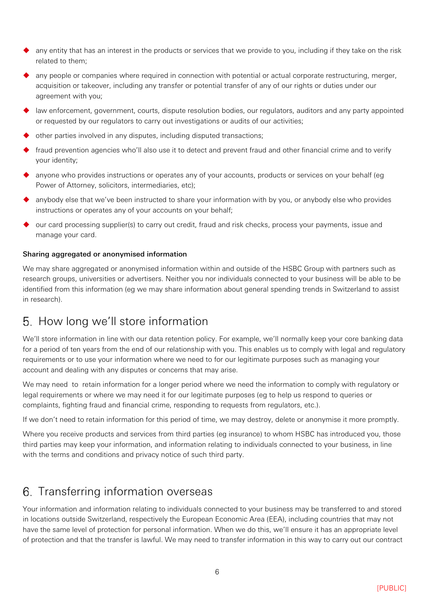- any entity that has an interest in the products or services that we provide to you, including if they take on the risk related to them;
- any people or companies where required in connection with potential or actual corporate restructuring, merger, acquisition or takeover, including any transfer or potential transfer of any of our rights or duties under our agreement with you;
- law enforcement, government, courts, dispute resolution bodies, our regulators, auditors and any party appointed or requested by our regulators to carry out investigations or audits of our activities;
- other parties involved in any disputes, including disputed transactions;
- fraud prevention agencies who'll also use it to detect and prevent fraud and other financial crime and to verify your identity;
- anyone who provides instructions or operates any of your accounts, products or services on your behalf (eg Power of Attorney, solicitors, intermediaries, etc);
- anybody else that we've been instructed to share your information with by you, or anybody else who provides instructions or operates any of your accounts on your behalf;
- $\bullet$  our card processing supplier(s) to carry out credit, fraud and risk checks, process your payments, issue and manage your card.

#### Sharing aggregated or anonymised information

We may share aggregated or anonymised information within and outside of the HSBC Group with partners such as research groups, universities or advertisers. Neither you nor individuals connected to your business will be able to be identified from this information (eg we may share information about general spending trends in Switzerland to assist in research).

## 5. How long we'll store information

We'll store information in line with our data retention policy. For example, we'll normally keep your core banking data for a period of ten years from the end of our relationship with you. This enables us to comply with legal and regulatory requirements or to use your information where we need to for our legitimate purposes such as managing your account and dealing with any disputes or concerns that may arise.

We may need to retain information for a longer period where we need the information to comply with regulatory or legal requirements or where we may need it for our legitimate purposes (eg to help us respond to queries or complaints, fighting fraud and financial crime, responding to requests from regulators, etc.).

If we don't need to retain information for this period of time, we may destroy, delete or anonymise it more promptly.

Where you receive products and services from third parties (eg insurance) to whom HSBC has introduced you, those third parties may keep your information, and information relating to individuals connected to your business, in line with the terms and conditions and privacy notice of such third party.

## 6. Transferring information overseas

Your information and information relating to individuals connected to your business may be transferred to and stored in locations outside Switzerland, respectively the European Economic Area (EEA), including countries that may not have the same level of protection for personal information. When we do this, we'll ensure it has an appropriate level of protection and that the transfer is lawful. We may need to transfer information in this way to carry out our contract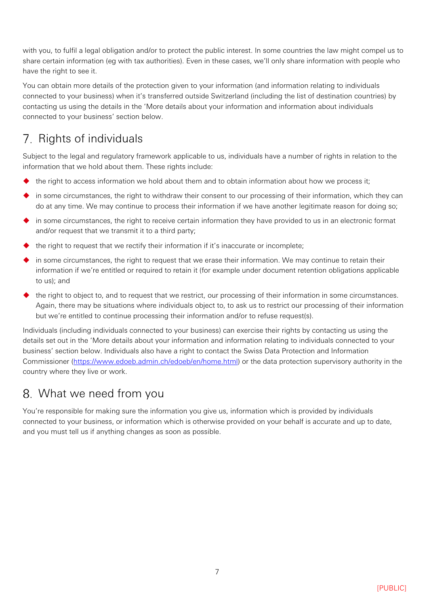with you, to fulfil a legal obligation and/or to protect the public interest. In some countries the law might compel us to share certain information (eg with tax authorities). Even in these cases, we'll only share information with people who have the right to see it.

You can obtain more details of the protection given to your information (and information relating to individuals connected to your business) when it's transferred outside Switzerland (including the list of destination countries) by contacting us using the details in the 'More details about your information and information about individuals connected to your business' section below.

# 7. Rights of individuals

Subject to the legal and regulatory framework applicable to us, individuals have a number of rights in relation to the information that we hold about them. These rights include:

- the right to access information we hold about them and to obtain information about how we process it;
- in some circumstances, the right to withdraw their consent to our processing of their information, which they can do at any time. We may continue to process their information if we have another legitimate reason for doing so;
- in some circumstances, the right to receive certain information they have provided to us in an electronic format and/or request that we transmit it to a third party;
- the right to request that we rectify their information if it's inaccurate or incomplete;
- in some circumstances, the right to request that we erase their information. We may continue to retain their information if we're entitled or required to retain it (for example under document retention obligations applicable to us); and
- $\blacklozenge$  the right to object to, and to request that we restrict, our processing of their information in some circumstances. Again, there may be situations where individuals object to, to ask us to restrict our processing of their information but we're entitled to continue processing their information and/or to refuse request(s).

Individuals (including individuals connected to your business) can exercise their rights by contacting us using the details set out in the 'More details about your information and information relating to individuals connected to your business' section below. Individuals also have a right to contact the Swiss Data Protection and Information Commissioner [\(https://www.edoeb.admin.ch/edoeb/en/home.html\)](https://www.edoeb.admin.ch/edoeb/en/home.html) or the data protection supervisory authority in the country where they live or work.

# What we need from you

You're responsible for making sure the information you give us, information which is provided by individuals connected to your business, or information which is otherwise provided on your behalf is accurate and up to date, and you must tell us if anything changes as soon as possible.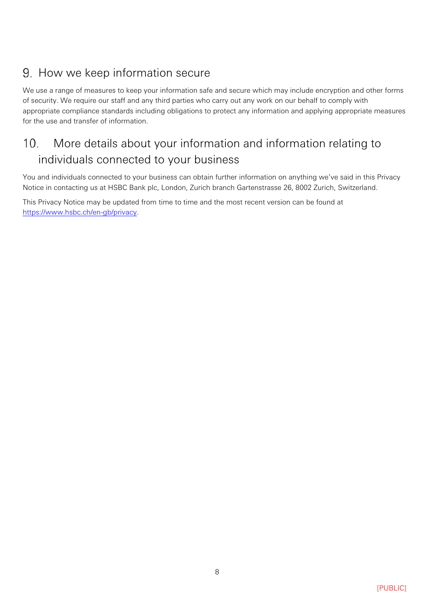# 9. How we keep information secure

We use a range of measures to keep your information safe and secure which may include encryption and other forms of security. We require our staff and any third parties who carry out any work on our behalf to comply with appropriate compliance standards including obligations to protect any information and applying appropriate measures for the use and transfer of information.

## More details about your information and information relating to  $10<sup>1</sup>$ individuals connected to your business

You and individuals connected to your business can obtain further information on anything we've said in this Privacy Notice in contacting us at HSBC Bank plc, London, Zurich branch Gartenstrasse 26, 8002 Zurich, Switzerland.

This Privacy Notice may be updated from time to time and the most recent version can be found at [https://www.hsbc.ch/en-gb/privacy.](https://www.hsbc.ch/en-gb/privacy)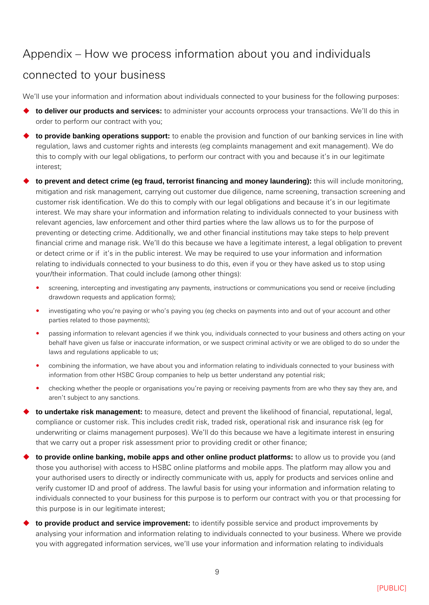## Appendix – How we process information about you and individuals

## connected to your business

We'll use your information and information about individuals connected to your business for the following purposes:

- **to deliver our products and services:** to administer your accounts orprocess your transactions. We'll do this in order to perform our contract with you;
- **to provide banking operations support:** to enable the provision and function of our banking services in line with regulation, laws and customer rights and interests (eg complaints management and exit management). We do this to comply with our legal obligations, to perform our contract with you and because it's in our legitimate interest;
- **to prevent and detect crime (eg fraud, terrorist financing and money laundering):** this will include monitoring, mitigation and risk management, carrying out customer due diligence, name screening, transaction screening and customer risk identification. We do this to comply with our legal obligations and because it's in our legitimate interest. We may share your information and information relating to individuals connected to your business with relevant agencies, law enforcement and other third parties where the law allows us to for the purpose of preventing or detecting crime. Additionally, we and other financial institutions may take steps to help prevent financial crime and manage risk. We'll do this because we have a legitimate interest, a legal obligation to prevent or detect crime or if it's in the public interest. We may be required to use your information and information relating to individuals connected to your business to do this, even if you or they have asked us to stop using your/their information. That could include (among other things):
	- screening, intercepting and investigating any payments, instructions or communications you send or receive (including drawdown requests and application forms);
	- investigating who you're paying or who's paying you (eg checks on payments into and out of your account and other parties related to those payments);
	- passing information to relevant agencies if we think you, individuals connected to your business and others acting on your behalf have given us false or inaccurate information, or we suspect criminal activity or we are obliged to do so under the laws and regulations applicable to us;
	- combining the information, we have about you and information relating to individuals connected to your business with information from other HSBC Group companies to help us better understand any potential risk;
	- checking whether the people or organisations you're paying or receiving payments from are who they say they are, and aren't subject to any sanctions.
- **to undertake risk management:** to measure, detect and prevent the likelihood of financial, reputational, legal, compliance or customer risk. This includes credit risk, traded risk, operational risk and insurance risk (eg for underwriting or claims management purposes). We'll do this because we have a legitimate interest in ensuring that we carry out a proper risk assessment prior to providing credit or other finance;
- **to provide online banking, mobile apps and other online product platforms:** to allow us to provide you (and those you authorise) with access to HSBC online platforms and mobile apps. The platform may allow you and your authorised users to directly or indirectly communicate with us, apply for products and services online and verify customer ID and proof of address. The lawful basis for using your information and information relating to individuals connected to your business for this purpose is to perform our contract with you or that processing for this purpose is in our legitimate interest;
- **to provide product and service improvement:** to identify possible service and product improvements by analysing your information and information relating to individuals connected to your business. Where we provide you with aggregated information services, we'll use your information and information relating to individuals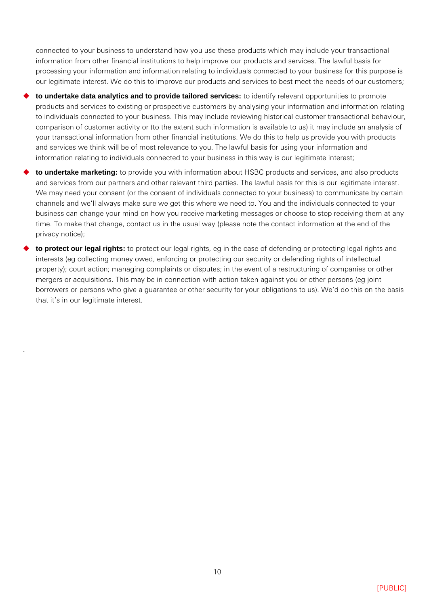connected to your business to understand how you use these products which may include your transactional information from other financial institutions to help improve our products and services. The lawful basis for processing your information and information relating to individuals connected to your business for this purpose is our legitimate interest. We do this to improve our products and services to best meet the needs of our customers;

- **to undertake data analytics and to provide tailored services:** to identify relevant opportunities to promote products and services to existing or prospective customers by analysing your information and information relating to individuals connected to your business. This may include reviewing historical customer transactional behaviour, comparison of customer activity or (to the extent such information is available to us) it may include an analysis of your transactional information from other financial institutions. We do this to help us provide you with products and services we think will be of most relevance to you. The lawful basis for using your information and information relating to individuals connected to your business in this way is our legitimate interest;
- **to undertake marketing:** to provide you with information about HSBC products and services, and also products and services from our partners and other relevant third parties. The lawful basis for this is our legitimate interest. We may need your consent (or the consent of individuals connected to your business) to communicate by certain channels and we'll always make sure we get this where we need to. You and the individuals connected to your business can change your mind on how you receive marketing messages or choose to stop receiving them at any time. To make that change, contact us in the usual way (please note the contact information at the end of the privacy notice);
- **to protect our legal rights:** to protect our legal rights, eg in the case of defending or protecting legal rights and interests (eg collecting money owed, enforcing or protecting our security or defending rights of intellectual property); court action; managing complaints or disputes; in the event of a restructuring of companies or other mergers or acquisitions. This may be in connection with action taken against you or other persons (eg joint borrowers or persons who give a guarantee or other security for your obligations to us). We'd do this on the basis that it's in our legitimate interest.

.